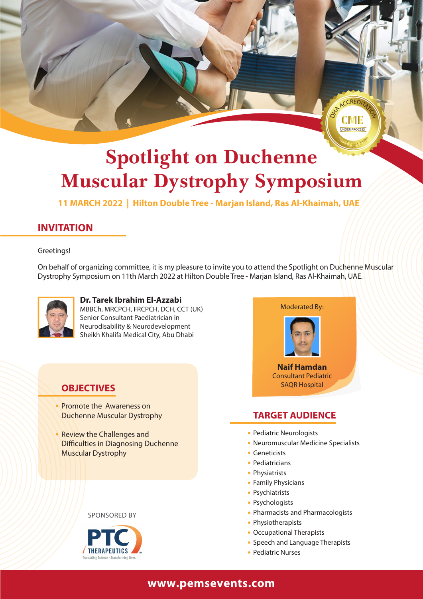

# **Spotlight on Duchenne Muscular Dystrophy Symposium**

**11 MARCH 2022 | Hilton Double Tree - Marjan Island, Ras Al-Khaimah, UAE**

## **INVITATION**

#### Greetings!

On behalf of organizing committee, it is my pleasure to invite you to attend the Spotlight on Duchenne Muscular Dystrophy Symposium on 11th March 2022 at Hilton Double Tree - Marjan Island, Ras Al-Khaimah, UAE.



**Dr. Tarek Ibrahim El-Azzabi** MBBCh, MRCPCH, FRCPCH, DCH, CCT (UK) Senior Consultant Paediatrician in Neurodisability & Neurodevelopment Sheikh Khalifa Medical City, Abu Dhabi

### **OBJECTIVES**

- Promote the Awareness on Duchenne Muscular Dystrophy
- Review the Challenges and **Difficulties in Diagnosing Duchenne** Muscular Dystrophy







#### **TARGET AUDIENCE**

- Pediatric Neurologists
- Neuromuscular Medicine Specialists
- **Geneticists**
- Pediatricians
- Physiatrists
- Family Physicians
- Psychiatrists
- Psychologists
- Pharmacists and Pharmacologists
- Physiotherapists
- Occupational Therapists
- Speech and Language Therapists
- Pediatric Nurses

#### **www.pemsevents.com**